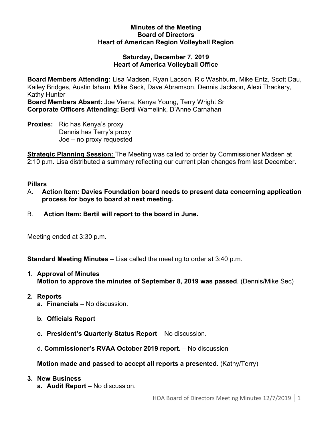#### **Minutes of the Meeting Board of Directors Heart of American Region Volleyball Region**

#### **Saturday, December 7, 2019 Heart of America Volleyball Office**

**Board Members Attending:** Lisa Madsen, Ryan Lacson, Ric Washburn, Mike Entz, Scott Dau, Kailey Bridges, Austin Isham, Mike Seck, Dave Abramson, Dennis Jackson, Alexi Thackery, Kathy Hunter

**Board Members Absent:** Joe Vierra, Kenya Young, Terry Wright Sr **Corporate Officers Attending:** Bertil Wamelink, D'Anne Carnahan

**Proxies:** Ric has Kenya's proxy Dennis has Terry's proxy Joe – no proxy requested

**Strategic Planning Session:** The Meeting was called to order by Commissioner Madsen at 2:10 p.m. Lisa distributed a summary reflecting our current plan changes from last December.

### **Pillars**

- A. **Action Item: Davies Foundation board needs to present data concerning application process for boys to board at next meeting.**
- B. **Action Item: Bertil will report to the board in June.**

Meeting ended at 3:30 p.m.

**Standard Meeting Minutes** – Lisa called the meeting to order at 3:40 p.m.

- **1. Approval of Minutes Motion to approve the minutes of September 8, 2019 was passed**. (Dennis/Mike Sec)
- **2. Reports**
	- **a. Financials** No discussion.
	- **b. Officials Report**
	- **c. President's Quarterly Status Report** No discussion.
	- d. **Commissioner's RVAA October 2019 report.** No discussion

# **Motion made and passed to accept all reports a presented**. (Kathy/Terry)

- **3. New Business**
	- **a. Audit Report**  No discussion.